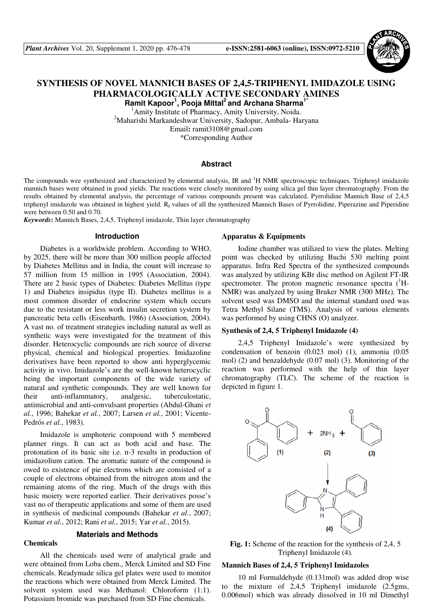

# **SYNTHESIS OF NOVEL MANNICH BASES OF 2,4,5-TRIPHENYL IMIDAZOLE USING PHARMACOLOGICALLY ACTIVE SECONDARY AMINES**

**Ramit Kapoor<sup>1</sup> , Pooja Mittal<sup>2</sup>and Archana Sharma1\***

<sup>1</sup> Amity Institute of Pharmacy, Amity University, Noida. <sup>2</sup>Maharishi Markandeshwar University, Sadopur, Ambala- Haryana Email**:** ramit3108@gmail.com \*Corresponding Author

## **Abstract**

The compounds wee synthesized and characterized by elemental analysis, IR and  ${}^{1}H$  NMR spectroscopic techniques. Triphenyl imidazole mannich bases were obtained in good yields. The reactions were closely monitored by using silica gel thin layer chromatography. From the results obtained by elemental analysis, the percentage of various compounds present was calculated. Pyrrolidine Mannich Base of 2,4,5 triphenyl imidazole was obtained in highest yield. R<sub>f</sub> values of all the synthesized Mannich Bases of Pyrrolidine, Piperazine and Piperidine were between 0.50 and 0.70.

*Keywords***:** Mannich Bases, 2,4,5, Triphenyl imidazole, Thin layer chromatography

#### **Introduction**

Diabetes is a worldwide problem. According to WHO, by 2025, there will be more than 300 million people affected by Diabetes Mellitus and in India, the count will increase to 57 million from 15 million in 1995 (Association, 2004). There are 2 basic types of Diabetes: Diabetes Mellitus (type 1) and Diabetes insipidus (type II). Diabetes mellitus is a most common disorder of endocrine system which occurs due to the resistant or less work insulin secretion system by pancreatic beta cells (Eisenbarth, 1986) (Association, 2004). A vast no. of treatment strategies including natural as well as synthetic ways were investigated for the treatment of this disorder. Heterocyclic compounds are rich source of diverse physical, chemical and biological properties. Imidazoline derivatives have been reported to show anti hyperglycemic activity in vivo. Imidazole's are the well-known heterocyclic being the important components of the wide variety of natural and synthetic compounds. They are well known for their anti-inflammatory, analgesic, tuberculostatic, antimicrobial and anti-convulsant properties (Abdul-Ghani *et al.*, 1996; Bahekar *et al.*, 2007; Larsen *et al.*, 2001; Vicente-Pedrós *et al.*, 1983).

Imidazole is amphoteric compound with 5 membered planner rings. It can act as both acid and base. The protonation of its basic site i.e. n-3 results in production of imidazolium cation. The aromatic nature of the compound is owed to existence of pie electrons which are consisted of a couple of electrons obtained from the nitrogen atom and the remaining atoms of the ring. Much of the drugs with this basic moiety were reported earlier. Their derivatives posse's vast no of therapeutic applications and some of them are used in synthesis of medicinal compounds (Bahekar *et al.*, 2007; Kumar *et al.*, 2012; Rani *et al.*, 2015; Yar *et al.*, 2015).

## **Materials and Methods**

## **Chemicals**

All the chemicals used were of analytical grade and were obtained from Loba chem., Merck Limited and SD Fine chemicals. Readymade silica gel plates were used to monitor the reactions which were obtained from Merck Limited. The solvent system used was Methanol: Chloroform (1:1). Potassium bromide was purchased from SD Fine chemicals.

#### **Apparatus & Equipments**

Iodine chamber was utilized to view the plates. Melting point was checked by utilizing Buchi 530 melting point apparatus. Infra Red Spectra of the synthesized compounds was analyzed by utilizing KBr disc method on Agilent FT-IR spectrometer. The proton magnetic resonance spectra  $({}^{1}H - {}^{1}H)$ NMR) was analyzed by using Bruker NMR (300 MHz). The solvent used was DMSO and the internal standard used was Tetra Methyl Silane (TMS). Analysis of various elements was performed by using CHNS (O) analyzer.

## **Synthesis of 2,4, 5 Triphenyl Imidazole (4)**

2,4,5 Triphenyl Imidazole's were synthesized by condensation of benzoin (0.023 mol) (1), ammonia (0.05 mol) (2) and benzaldehyde (0.07 mol) (3). Monitoring of the reaction was performed with the help of thin layer chromatography (TLC). The scheme of the reaction is depicted in figure 1.



**Fig. 1:** Scheme of the reaction for the synthesis of 2,4, 5 Triphenyl Imidazole (4).

#### **Mannich Bases of 2,4, 5 Triphenyl Imidazoles**

10 ml Formaldehyde (0.131mol) was added drop wise to the mixture of 2,4,5 Triphenyl imidazole (2.5gms, 0.006mol) which was already dissolved in 10 ml Dimethyl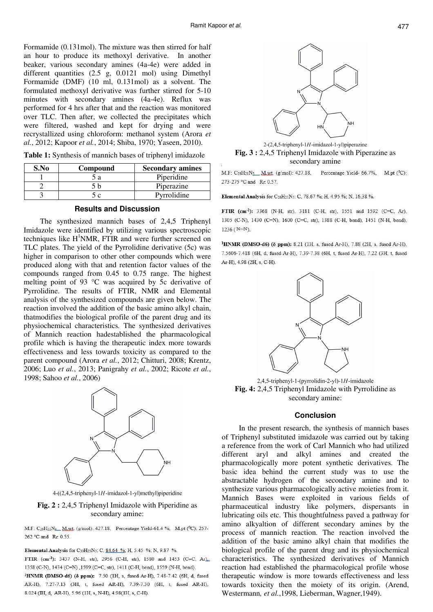Formamide (0.131mol). The mixture was then stirred for half an hour to produce its methoxyl derivative. In another beaker, various secondary amines (4a-4e) were added in different quantities (2.5 g, 0.0121 mol) using Dimethyl Formamide (DMF) (10 ml, 0.131mol) as a solvent. The formulated methoxyl derivative was further stirred for 5-10 minutes with secondary amines (4a-4e). Reflux was performed for 4 hrs after that and the reaction was monitored over TLC. Then after, we collected the precipitates which were filtered, washed and kept for drying and were recrystallized using chloroform: methanol system (Arora *et al.*, 2012; Kapoor *et al.*, 2014; Shiba, 1970; Yaseen, 2010).

|  |  | Table 1: Synthesis of mannich bases of triphenyl imidazole |  |  |  |
|--|--|------------------------------------------------------------|--|--|--|
|--|--|------------------------------------------------------------|--|--|--|

| Compound | <b>Secondary amines</b> |
|----------|-------------------------|
| ) а      | Piperidine              |
|          | Piperazine              |
|          | Pyrrolidine             |

## **Results and Discussion**

The synthesized mannich bases of 2,4,5 Triphenyl Imidazole were identified by utilizing various spectroscopic techniques like  $H<sup>1</sup>NMR$ , FTIR and were further screened on TLC plates. The yield of the Pyrrolidine derivative (5c) was higher in comparison to other other compounds which were produced along with that and retention factor values of the compounds ranged from 0.45 to 0.75 range. The highest melting point of 93 °C was acquired by 5c derivative of Pyrrolidine. The results of FTIR, NMR and Elemental analysis of the synthesized compounds are given below. The reaction involved the addition of the basic amino alkyl chain, thatmodifies the biological profile of the parent drug and its physiochemical characteristics*.* The synthesized derivatives of Mannich reaction hadestablished the pharmacological profile which is having the therapeutic index more towards effectiveness and less towards toxicity as compared to the parent compound (Arora *et al.*, 2012; Chitturi, 2008; Krentz, 2006; Luo *et al.*, 2013; Panigrahy *et al.*, 2002; Ricote *et al.*, 1998; Sahoo *et al.*, 2006)



 $4-((2,4,5-triphenyl-1H-imidazol-1-yl)methyl) piperidine$ 

## **Fig. 2 :** 2,4,5 Triphenyl Imidazole with Piperidine as secondary amine:

M.F: C<sub>29</sub>H<sub>22</sub>N<sub>4</sub> M.xxt. (g/mol): 427.18, Percentage Yield-61.4 %, M.pt (<sup>0</sup>C): 257-262 °C and R<sub>f</sub>: 0.55.

Elemental Analysis for C30H23N3: C, 84.64 %; H, 5.45 %; N, 9.87 %.

FTIR (cm<sup>-1</sup>): 3437 (N-H, str), 2956 (C-H, str), 1580 and 1453 (C=C, Ar), 1358 (C-N), 1434 (C=N), 1599 (C=C, str), 1411 (C-H, bend), 1559 (N-H, bend). <sup>1</sup>HNMR (DMSO-d6) ( $\delta$  ppm): 7.50 (1H, s, fused Ar-H), 7.48-7.42 (6H, d, fused AR-H), 7.27-7.13 (3H, t, fused AR-H), 7.39-7.30 (6H, t, fused AR-H), 8.024 (IH, d, AR-H), 5.96 (1H, s, N-H), 4.98 (1H, s, C-H).



2-(2,4,5-triphenyl-1H-imidazol-1-yl)piperazine **Fig. 3 :** 2,4,5 Triphenyl Imidazole with Piperazine as secondary amine

M.F:  $C_{28}H_{21}N_5$  M.wt. (g/mol): 427.18, Percentage Yield- 66.7%, M.pt ( $^0C$ ): 273-275 °C and Rr 0.57.

Elemental Analysis for C28H21N5: C, 78.67 %: H, 4.95 %: N, 16.38 %.

FTIR (cm<sup>-1</sup>): 3368 (N-H, str), 3181 (C-H, str), 1551 and 1592 (C=C, Ar), 1305 (C-N), 1430 (C=N), 1600 (C=C, str), 1388 (C-H, bend), 1451 (N-H, bend),  $1236(N=N)$ 

<sup>1</sup>HNMR (DMSO-d6) ( $\delta$  ppm): 8.21 (1H, s, fused Ar-H), 7.88 (2H, s, fused Ar-H), 7.5606-7.418 (6H, d, fused Ar-H), 7.39-7.38 (6H, t, fused Ar-H), 7.22 (3H, t, fused Ar-H), 4.98 (2H, s, C-H).



2,4,5-triphenyl-1-(pyrrolidin-2-yl)-1H-imidazole **Fig. 4:** 2,4,5 Triphenyl Imidazole with Pyrrolidine as secondary amine:

## **Conclusion**

 In the present research, the synthesis of mannich bases of Triphenyl substituted imidazole was carried out by taking a reference from the work of Carl Mannich who had utilized different aryl and alkyl amines and created the pharmacologically more potent synthetic derivatives. The basic idea behind the current study was to use the abstractable hydrogen of the secondary amine and to synthesize various pharmacologically active moieties from it. Mannich Bases were exploited in various fields of pharmaceutical industry like polymers, dispersants in lubricating oils etc. This thoughtfulness paved a pathway for amino alkyaltion of different secondary amines by the process of mannich reaction. The reaction involved the addition of the basic amino alkyl chain that modifies the biological profile of the parent drug and its physiochemical characteristics. The synthesized derivatives of Mannich reaction had established the pharmacological profile whose therapeutic window is more towards effectiveness and less towards toxicity then the moiety of its origin. (Arend, Westermann*, et al.*,1998, Lieberman, Wagner,1949).